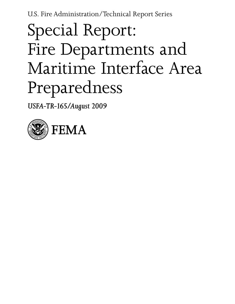U.S. Fire Administration/Technical Report Series

# Special Report: Fire Departments and Maritime Interface Area Preparedness

*USFA-TR-165/August 2009*

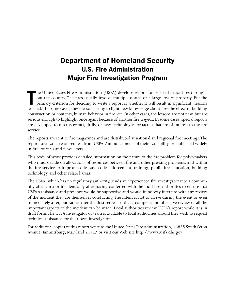# Department of Homeland Security U.S. Fire Administration Major Fire Investigation Program

In the United States Fire Administration (USFA) develops reports on selected major fires through-<br>out the country. The fires usually involve multiple deaths or a large loss of property. But the<br>primary criterion for decidi he United States Fire Administration (USFA) develops reports on selected major fires throughout the country. The fires usually involve multiple deaths or a large loss of property. But the primary criterion for deciding to write a report is whether it will result in significant "lessons construction or contents, human behavior in fire, etc. In other cases, the lessons are not new, but are serious enough to highlight once again because of another fire tragedy. In some cases, special reports are developed to discuss events, drills, or new technologies or tactics that are of interest to the fire service.

The reports are sent to fire magazines and are distributed at national and regional fire meetings. The reports are available on request from USFA. Announcements of their availability are published widely in fire journals and newsletters.

This body of work provides detailed information on the nature of the fire problem for policymakers who must decide on allocations of resources between fire and other pressing problems, and within the fire service to improve codes and code enforcement, training, public fire education, building technology, and other related areas.

The USFA, which has no regulatory authority, sends an experienced fire investigator into a community after a major incident only after having conferred with the local fire authorities to ensure that USFA's assistance and presence would be supportive and would in no way interfere with any review of the incident they are themselves conducting. The intent is not to arrive during the event or even immediately after, but rather after the dust settles, so that a complete and objective review of all the important aspects of the incident can be made. Local authorities review USFA's report while it is in draft form. The USFA investigator or team is available to local authorities should they wish to request technical assistance for their own investigation.

For additional copies of this report write to the United States Fire Administration, 16825 South Seton Avenue, Emmitsburg, Maryland 21727 or visit our Web site http://www.usfa.dhs.gov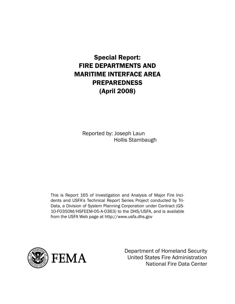# Special Report: FIRE DEPARTMENTS AND MARITIME INTERFACE AREA PREPAREDNESS (April 2008)

Reported by: Joseph Laun Hollis Stambaugh

This is Report 165 of Investigation and Analysis of Major Fire Incidents and USFA's Technical Report Series Project conducted by Tri-Data, a Division of System Planning Corporation under Contract (GS-10-F0350M/HSFEEM-05-A-0363) to the DHS/USFA, and is available from the USFA Web page at http://www.usfa.dhs.gov



Department of Homeland Security United States Fire Administration National Fire Data Center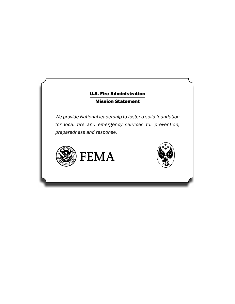## U.S. Fire Administration Mission Statement

*We provide National leadership to foster a solid foundation for local fire and emergency services for prevention, preparedness and response.*



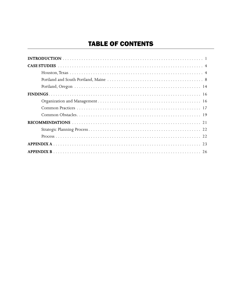# TABLE OF CONTENTS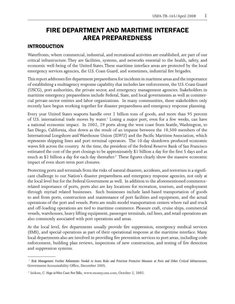# FIRE DEPARTMENT AND MARITIME INTERFACE AREA PREPAREDNESS

## INTRODUCTION

Waterfronts, where commercial, industrial, and recreational activities are established, are part of our critical infrastructure. They are facilities, systems, and networks essential to the health, safety, and economic well-being of the United States. These maritime interface areas are protected by the local emergency services agencies, the U.S. Coast Guard, and sometimes, industrial fire brigades.

This report addresses fire department preparedness for incidents in maritime areas and the importance of establishing a multiagency response capability that includes law enforcement, the U.S. Coast Guard (USCG), port authorities, the private sector, and emergency management agencies. Stakeholders in maritime emergency preparedness include Federal, State, and local governments as well as commercial private-sector entities and labor organizations. In many communities, these stakeholders only recently have begun working together for disaster preparedness and emergency response planning.

Every year United States seaports handle over 2 billion tons of goods, and more than 95 percent of U.S. international trade moves by water.<sup>1</sup> Losing a major port, even for a few weeks, can have a national economic impact. In 2002, 29 ports along the west coast from Seattle, Washington, to San Diego, California, shut down as the result of an impasse between the 10,500 members of the International Longshore and Warehouse Union (ILWU) and the Pacific Maritime Association, which represents shipping lines and port terminal operators. The 10-day shutdown produced economic waves felt across the country. At the time, the president of the Federal Reserve Bank of San Francisco estimated the cost of the port closings to be approximately \$1 billion a day for the first 5 days and as much as \$2 billion a day for each day thereafter.<sup>2</sup> These figures clearly show the massive economic impact of even short-term port closures.

Protecting ports and terminals from the risks of natural disasters, accidents, and terrorism is a significant challenge to our Nation's disaster preparedness and emergency response agencies, not only at the local level but for the Federal Government as well. In addition to the aforementioned commercerelated importance of ports, ports also are key locations for recreation, tourism, and employment through myriad related businesses. Such businesses include land-based transportation of goods to and from ports, construction and maintenance of port facilities and equipment, and the actual operations of the port and vessels. Ports are multi-model transportation centers where rail and truck and off-loading operations are tied to maritime commerce. Pleasure craft, cruise ships, commercial vessels, warehouses, heavy lifting equipment, passenger terminals, rail lines, and retail operations are also commonly associated with port operations and areas.

At the local level, fire departments usually provide fire suppression, emergency medical services (EMS), and special operations as part of their operational response at the maritime interface. Many local departments also are involved in providing fire prevention services to port areas, including code enforcement, building plan reviews, inspections of new construction, and testing of fire detection and suppression systems.

<sup>&</sup>lt;sup>1</sup> Risk Management: Further Refinements Needed to Assess Risks and Prioritize Protective Measures at Ports and Other Critical Infrastructure, Government Accountability Office, December 2005.

 <sup>2</sup> Isidore, C. *Hope in West Coast Port Talks*, www.money.cnn.com, October 2, 2002.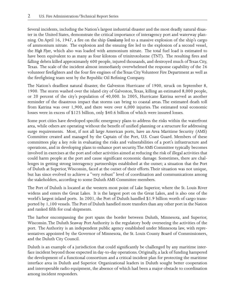Several incidents, including the Nation's largest industrial disaster and the most deadly natural disaster in the United States, demonstrate the critical importance of interagency port and waterway planning. On April 16, 1947, a fire on the ship *Grandcamp* led to a massive explosion of the ship's cargo of ammonium nitrate. The explosion and the ensuing fire led to the explosion of a second vessel, the *High Flyer*, which also was loaded with ammonium nitrate. The total fuel load is estimated to have been equivalent to as many as four kilotons of trinitrotoluene (TNT). The resulting fires and falling debris killed approximately 600 people, injured thousands, and destroyed much of Texas City, Texas. The scale of the incident almost immediately overwhelmed the response capability of the 26 volunteer firefighters and the four fire engines of the Texas City Volunteer Fire Department as well as the firefighting team sent by the Republic Oil Refining Company.

The Nation's deadliest natural disaster, the Galveston Hurricane of 1900, struck on September 8, 1900. The storm washed over the island city of Galveston, Texas, killing an estimated 8,000 people, or 20 percent of the city's population of 40,000. In 2005, Hurricane Katrina served as another reminder of the disastrous impact that storms can bring to coastal areas. The estimated death toll from Katrina was over 1,900, and there were over 6,000 injuries. The estimated total economic losses were in excess of \$125 billion, only \$40.6 billion of which were insured losses.

Some port cities have developed specific emergency plans to address the risks within the waterfront area, while others are operating without the benefit of unified planning or a structure for addressing surge requirements. Most, if not all large American ports, have an Area Maritime Security (AMS) Committee created and managed by the Captain of the Port, U.S. Coast Guard. Members of these committees play a key role in evaluating the risks and vulnerabilities of a port's infrastructure and operations, and in developing plans to enhance port security. The AMS Committee typically becomes involved in exercises at the port and other activities aimed at reducing the risk of illegal activities that could harm people at the port and cause significant economic damage. Sometimes, there are challenges in getting strong interagency partnerships established at the outset; a situation that the Port of Duluth at Superior, Wisconsin, faced at the outset of their efforts. Their situation was not unique, but has since evolved to achieve a "very robust" level of coordination and communications among the stakeholders, according to some Duluth AMS Committee members.

The Port of Duluth is located at the western most point of Lake Superior, where the St. Louis River widens and enters the Great Lakes. It is the largest port on the Great Lakes, and is also one of the world's largest inland ports. In 2001, the Port of Duluth handled \$1.9 billion worth of cargo transported by 1,100 vessels. The Port of Duluth handled more transfers than any other port in the Nation and ranked fifth for coal shipments.

The harbor encompassing the port spans the border between Duluth, Minnesota, and Superior, Wisconsin. The Duluth Seaway Port Authority is the regulatory body overseeing the activities of the port. The Authority is an independent public agency established under Minnesota law, with representatives appointed by the Governor of Minnesota, the St. Louis County Board of Commissioners, and the Duluth City Council.

Duluth is an example of a jurisdiction that could significantly be challenged by any maritime interface incident beyond those expected in day-to-day operations. Originally, a lack of funding hampered the development of a functional consortium and a critical incident plan for protecting the maritime interface area in Duluth and Superior. Organizational leaders in Duluth sought better cooperation and interoperable radio equipment, the absence of which had been a major obstacle to coordination among incident responders.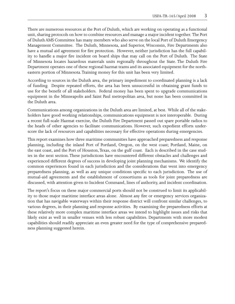There are numerous resources at the Port of Duluth, which are working on operating as a functional unit, sharing protocols on how to combine resources and manage a major incident together. The Port of Duluth AMS Committee has many members who also serve on the local Port of Duluth Emergency Management Committee. The Duluth, Minnesota, and Superior, Wisconsin, Fire Departments also have a mutual aid agreement for fire protection. However, neither jurisdiction has the full capability to handle a major fire incident on board ships that may call on the Port of Duluth. The State of Minnesota locates hazardous materials units regionally throughout the State. The Duluth Fire Department operates one of these regional hazmat teams and its associated equipment for the northeastern portion of Minnesota. Training money for this unit has been very limited.

According to sources in the Duluth area, the primary impediment to coordinated planning is a lack of funding. Despite repeated efforts, the area has been unsuccessful in obtaining grant funds to use for the benefit of all stakeholders. Federal money has been spent to upgrade communications equipment in the Minneapolis and Saint Paul metropolitan area, but none has been committed in the Duluth area.

Communications among organizations in the Duluth area are limited, at best. While all of the stakeholders have good working relationships, communications equipment is not interoperable. During a recent full-scale Hazmat exercise, the Duluth Fire Department passed out spare portable radios to the heads of other agencies to facilitate communications. However, such expedient efforts underscore the lack of resources and capabilities necessary for effective operations during emergencies.

This report examines how three maritime communities have approached preparedness and response planning, including the inland Port of Portland, Oregon, on the west coast; Portland, Maine, on the east coast, and the Port of Houston, Texas, on the gulf coast. Each is described in the case studies in the next section. These jurisdictions have encountered different obstacles and challenges and experienced different degrees of success in developing joint planning mechanisms. We identify the common experiences found in each jurisdiction and the considerations that went into emergency preparedness planning, as well as any unique conditions specific to each jurisdiction. The use of mutual-aid agreements and the establishment of consortiums as tools for joint preparedness are discussed, with attention given to Incident Command, lines of authority, and incident coordination.

The report's focus on these major commercial ports should not be construed to limit its applicability to those major maritime interface areas alone. Almost any fire or emergency services organization that has navigable waterways within their response district will confront similar challenges, to various degrees, in their planning and response activities. By examining the preparedness efforts at these relatively more complex maritime interface areas we intend to highlight issues and risks that likely exist as well in smaller venues with less robust capabilities. Departments with more modest capabilities should readily appreciate an even greater need for the type of comprehensive preparedness planning suggested herein.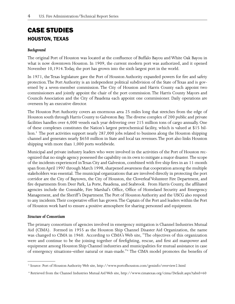# CASE STUDIES HOUSTON, TEXAS

## *Background*

The original Port of Houston was located at the confluence of Buffalo Bayou and White Oak Bayou in what is now downtown Houston. In 1909, the current modern port was authorized, and it opened November 10,1914. Today, the port has grown into the sixth largest port in the world.

In 1971, the Texas legislature gave the Port of Houston Authority expanded powers for fire and safety protection. The Port Authority is an independent political subdivision of the State of Texas and is governed by a seven-member commission. The City of Houston and Harris County each appoint two commissioners and jointly appoint the chair of the port commission. The Harris County Mayors and Councils Association and the City of Pasadena each appoint one commissioner. Daily operations are overseen by an executive director.

The Houston Port Authority covers an enormous area 25 miles long that stretches from the edge of Houston south through Harris County to Galveston Bay. The diverse complex of 200 public and private facilities handles over 6,000 vessels each year delivering over 215 million tons of cargo annually. One of these complexes constitutes the Nation's largest petrochemical facility, which is valued at \$15 billion.<sup>3</sup> The port activities support nearly 287,000 jobs related to business along the Houston shipping channel and generates nearly \$650 million in State and local tax revenues. The port also links Houston shipping with more than 1,000 ports worldwide.

Municipal and private industry leaders who were involved in the activities of the Port of Houston recognized that no single agency possessed the capability on its own to mitigate a major disaster. The scope of the incidents experienced in Texas City and Galveston, combined with five ship fires in an 11-month span from April 1997 through March 1998, sharpened awareness that cooperation among the multiple stakeholders was essential. The municipal organizations that are involved directly in protecting the port corridor are the City of Baytown, the City of Houston, the Cloverleaf Volunteer Fire Department, and fire departments from Deer Park, La Porte, Pasadena, and Seabrook. From Harris County, the affiliated agencies include the Constable, Fire Marshal's Office, Office of Homeland Security and Emergency Management, and the Sheriff's Department. The Port of Houston Authority and the USCG also respond to any incidents. Their cooperative effort has grown. The Captain of the Port and leaders within the Port of Houston work hard to ensure a positive atmosphere for sharing personnel and equipment.

#### *Structure of Consortium*

The primary consortium of agencies involved in emergency mitigation is Channel Industries Mutual Aid (CIMA). Formed in 1955 as the Houston Ship Channel Disaster Aid Organization, the name was changed to CIMA in 1960. According to CIMA's Web site, "The objectives of this organization were and continue to be the joining together of firefighting, rescue, and first aid manpower and equipment among Houston Ship Channel industries and municipalities for mutual assistance in case of emergency situations–either natural or man-made."4 The CIMA model promotes the benefits of

 <sup>3</sup> Source: Port of Houston Authority Web site, http://www.portofhouston.com/geninfo/overview2.html

<sup>4</sup> Retrieved from the Channel Industries Mutual Aid Web site, http://www.cimatexas.org/cima/Default.aspx?tabid=60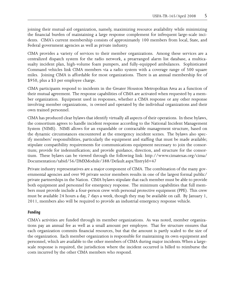joining their mutual-aid organization, namely, maximizing resource availability while minimizing the financial burden of maintaining a large response complement for infrequent large-scale incidents. CIMA's current membership consists of approximately 100 members from local, State, and Federal government agencies as well as private industry.

CIMA provides a variety of services to their member organizations. Among these services are a centralized dispatch system for the radio network, a prearranged alarm list database, a multicasualty incident plan, high-volume foam pumpers, and fully-equipped ambulances. Sophisticated Command vehicles link CIMA members via a radio system with a coverage range of 500 square miles. Joining CIMA is affordable for most organizations. There is an annual membership fee of \$950, plus a \$3 per employee charge.

CIMA participants respond to incidents in the Greater Houston Metropolitan Area as a function of their mutual agreement. The response capabilities of CIMA are activated when requested by a member organization. Equipment used in responses, whether a CIMA response or any other response involving member organizations, is owned and operated by the individual organizations and their own trained personnel.

CIMA has produced clear bylaws that identify virtually all aspects of their operations. In these bylaws, the consortium agrees to handle incident response according to the National Incident Management System (NIMS). NIMS allows for an expandable or contractable management structure, based on the dynamic circumstances encountered at the emergency incident scenes. The bylaws also specify members' responsibilities, particularly the equipment and staffing that must be made available; stipulate compatibility requirements for communications equipment necessary to join the consortium; provide for indemnification; and provide guidance, direction, and structure for the consortium. These bylaws can be viewed through the following link: http://www.cimatexas.org/cima/ Documentation/tabid/56/DMXModule/388/Default.aspx?EntryId=47

Private industry representatives are a major component of CIMA. The combination of the many governmental agencies and over 90 private sector members results in one of the largest formal public/ private partnerships in the Nation. CIMA bylaws stipulate that each member must be able to provide both equipment and personnel for emergency response. The minimum capabilities that full members must provide include a four-person crew with personal protective equipment (PPE). This crew must be available 24 hours a day, 7 days a week, though they may be available on call. By January 1, 2011, members also will be required to provide an industrial emergency response vehicle.

## *Funding*

CIMA's activities are funded through its member organizations. As was noted, member organizations pay an annual fee as well as a small amount per employee. That fee structure ensures that each organization commits financial resources, but that the amount is partly scaled to the size of the organization. Each member organization is responsible for maintaining its own equipment and personnel, which are available to the other members of CIMA during major incidents. When a largescale response is required, the jurisdiction where the incident occurred is billed to reimburse the costs incurred by the other CIMA members who respond.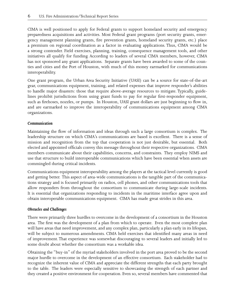CIMA is well positioned to apply for Federal grants to support homeland security and emergency preparedness acquisitions and activities. Most Federal grant programs (port security grants, emergency management planning grants, fire prevention grants, homeland security grants, etc.) place a premium on regional coordination as a factor in evaluating applications. Thus, CIMA would be a strong contender. Field exercises, planning, training, consequence management tools, and other initiatives all qualify for funding. According to leaders of several CIMA members, however, CIMA has not sponsored any grant applications. Separate grants have been awarded to some of the counties and cities and the Port of Houston, with much of this money earmarked for communications interoperability.

One grant program, the Urban Area Security Initiative (UASI) can be a source for state-of-the-art gear, communications equipment, training, and related expenses that improve responder's abilities to handle major disasters: those that require above-average resources to mitigate. Typically, guidelines prohibit jurisdictions from using grant funds to pay for regular first-responder equipment, such as firehoses, nozzles, or pumps. In Houston, UASI grant dollars are just beginning to flow in, and are earmarked to improve the interoperability of communications equipment among CIMA organizations.

## *Communication*

Maintaining the flow of information and ideas through such a large consortium is complex. The leadership structure on which CIMA's communications are based is excellent. There is a sense of mission and recognition from the top that cooperation is not just desirable, but essential. Both elected and appointed officials convey this message throughout their respective organizations. CIMA members communicate about their capabilities, concerns, and constraints. They employ NIMS and use that structure to build interoperable communications which have been essential when assets are commingled during critical incidents.

Communications equipment interoperability among the players at the tactical level currently is good and getting better. This aspect of area-wide communications is the tangible part of the communications strategy and is focused primarily on radios, cell phones, and other communications tools that allow responders from throughout the consortium to communicate during large-scale incidents. It is essential that organizations responding to incidents in the maritime interface agree upon and obtain interoperable communications equipment. CIMA has made great strides in this area.

#### *Obstacles and Challenges*

There were primarily three hurdles to overcome in the development of a consortium in the Houston area. The first was the development of a plan from which to operate. Even the most complete plan will have areas that need improvement, and any complex plan, particularly a plan early in its lifespan, will be subject to numerous amendments. CIMA held exercises that identified many areas in need of improvement. That experience was somewhat discouraging to several leaders and initially led to some doubt about whether the consortium was a workable idea.

Obtaining the "buy-in" of the myriad stakeholders involved in the port area proved to be the second major hurdle to overcome in the development of an effective consortium. Each stakeholder had to recognize the inherent value of CIMA and appreciate the different strengths that each party brought to the table. The leaders were especially sensitive to showcasing the strength of each partner and they created a positive environment for cooperation. Even so, several members have commented that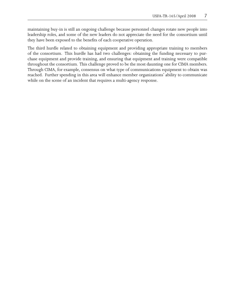maintaining buy-in is still an ongoing challenge because personnel changes rotate new people into leadership roles, and some of the new leaders do not appreciate the need for the consortium until they have been exposed to the benefits of each cooperative operation.

The third hurdle related to obtaining equipment and providing appropriate training to members of the consortium. This hurdle has had two challenges: obtaining the funding necessary to purchase equipment and provide training, and ensuring that equipment and training were compatible throughout the consortium. This challenge proved to be the most daunting one for CIMA members. Through CIMA, for example, consensus on what type of communications equipment to obtain was reached. Further spending in this area will enhance member organizations' ability to communicate while on the scene of an incident that requires a multi-agency response.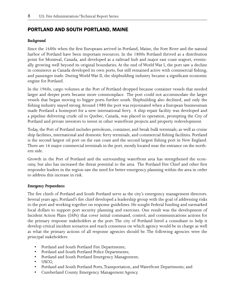## PORTLAND AND SOUTH PORTLAND, MAINE

## *Background*

Since the 1600s when the first Europeans arrived in Portland, Maine, the Fore River and the natural harbor of Portland have been important resources. In the 1800s Portland thrived as a distribution point for Montreal, Canada, and developed as a railroad hub and major east coast seaport, eventually growing well beyond its original boundaries. At the end of World War I, the port saw a decline in commerce as Canada developed its own ports, but still remained active with commercial fishing, and passenger trade. During World War II, the shipbuilding industry became a significant economic engine for Portland.

In the 1960s, cargo volumes at the Port of Portland dropped because container vessels that needed larger and deeper ports became more commonplace. The port could not accommodate the larger vessels that began moving to bigger ports further south. Shipbuilding also declined, and only the fishing industry stayed strong. Around 1980 the port was rejuvenated when a European businessman made Portland a homeport for a new international ferry. A ship repair facility was developed and a pipeline delivering crude oil to Quebec, Canada, was placed in operation, prompting the City of Portland and private investors to invest in other waterfront projects and property redevelopment.

Today, the Port of Portland includes petroleum, container, and break bulk terminals; as well as cruise ship facilities, international and domestic ferry terminals, and commercial fishing facilities. Portland is the second largest oil port on the east coast and the second largest fishing port in New England. There are 16 major commercial terminals in the port, mostly located near the entrance on the northern side.

Growth in the Port of Portland and the surrounding waterfront area has strengthened the economy, but also has increased the threat potential to the area. The Portland Fire Chief and other first responder leaders in the region saw the need for better emergency planning within the area in order to address this increase in risk.

#### *Emergency Preparedness*

The fire chiefs of Portland and South Portland serve as the city's emergency management directors. Several years ago, Portland's fire chief developed a leadership group with the goal of addressing risks to the port and working together on response guidelines. He sought Federal funding and earmarked local dollars to support port security planning and exercises. One result was the development of Incident Action Plans (IAPs) that cover initial command, control, and communications actions for the primary response stakeholders at the port. The city of Portland hired a consultant to help it develop critical incident scenarios and reach consensus on which agency would be in charge as well as what the primary actions of all response agencies should be. The following agencies were the principal stakeholders:

- Portland and South Portland Fire Departments;
- Portland and South Portland Police Departments;
- Portland and South Portland Emergency Management;
- • USCG;
- • Portland and South Portland Ports,Transportation, and Waterfront Departments; and
- • Cumberland County Emergency Management Agency.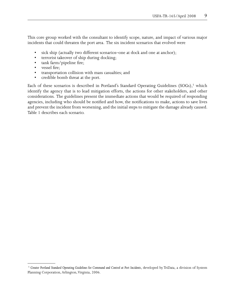This core group worked with the consultant to identify scope, nature, and impact of various major incidents that could threaten the port area. The six incident scenarios that evolved were

- sick ship (actually two different scenarios–one at dock and one at anchor);
- terrorist takeover of ship during docking;
- tank farm/pipeline fire;
- vessel fire;
- • transportation collision with mass casualties; and
- credible bomb threat at the port.

Each of these scenarios is described in Portland's Standard Operating Guidelines (SOGs),<sup>5</sup> which identify the agency that is to lead mitigation efforts, the actions for other stakeholders, and other considerations. The guidelines present the immediate actions that would be required of responding agencies, including who should be notified and how, the notifications to make, actions to save lives and prevent the incident from worsening, and the initial steps to mitigate the damage already caused. Table 1 describes each scenario.

<sup>5</sup> *Greater Portland Standard Operating Guidelines for Command and Control at Port Incidents*, developed by TriData, a division of System Planning Corporation, Arlington, Virginia, 2006.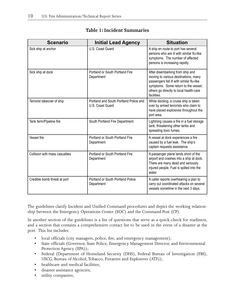| <b>Scenario</b>                | <b>Initial Lead Agency</b>                                 | <b>Situation</b>                                                                                                                                                                                                        |  |
|--------------------------------|------------------------------------------------------------|-------------------------------------------------------------------------------------------------------------------------------------------------------------------------------------------------------------------------|--|
| Sick ship at anchor            | U.S. Coast Guard                                           | A ship en route to port has several<br>persons who are ill with similar flu-like<br>symptoms. The number of affected<br>persons is increasing rapidly.                                                                  |  |
| Sick ship at dock              | Portland or South Portland Fire<br>Department              | After disembarking from ship and<br>moving to various destinations, many<br>passengers fall ill with similar flu-like<br>symptoms. Some return to the vessel;<br>others go directly to local health-care<br>facilities. |  |
| Terrorist takeover of ship     | Portland and South Portland Police and<br>U.S. Coast Guard | While docking, a cruise ship is taken<br>over by armed terrorists who claim to<br>have placed explosives throughout the<br>port area.                                                                                   |  |
| Tank farm/Pipeline fire        | South Portland Fire Department                             | Lightning causes a fire in a fuel storage<br>tank, threatening other tanks and<br>spreading toxic fumes.                                                                                                                |  |
| Vessel fire                    | Portland or South Portland Fire<br>Department              | A vessel at dock experiences a fire<br>caused by a fuel leak. The ship's<br>captain requests assistance.                                                                                                                |  |
| Collision with mass casualties | Portland or South Portland Fire<br>Department              | A passenger plane lands short of the<br>airport and crashes into a ship at dock.<br>There are many dead and seriously<br>injured people. Fuel is spilled into the<br>water.                                             |  |
| Credible bomb threat at port   | Portland or South Portland Police<br>Department            | A caller reports overhearing a plan to<br>carry out coordinated attacks on several<br>vessels sometime in the next 3 days.                                                                                              |  |

## **Table 1: Incident Summaries**

The guidelines clarify Incident and Unified Command procedures and depict the working relationship between the Emergency Operations Center (EOC) and the Command Post (CP).

In another section of the guidelines is a list of questions that serve as a quick-check for readiness, and a section that contains a comprehensive contact list to be used in the event of a disaster at the port. This list includes

- local officials (city managers, police, fire, and emergency management);
- • State officials (Governor, State Police, Emergency Management Director, and Environmental Protection Agency (EPA));
- • Federal (Department of Homeland Security (DHS), Federal Bureau of Investigation (FBI), USCG, Bureau of Alcohol, Tobacco, Firearms and Explosives (ATF));
- healthcare and medical facilities;
- • disaster assistance agencies;
- • utility companies;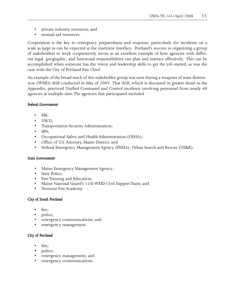- • private industry resources; and
- mutual-aid resources.

Cooperation is the key to emergency preparedness and response, particularly for incidents on a scale as large as can be expected at the maritime interface. Portland's success in organizing a group of stakeholders to work cooperatively serves as an excellent example of how agencies with different legal, geographic, and functional responsibilities can plan and interact effectively. This can be accomplished when someone has the vision and leadership skills to get the job started, as was the case with the City of Portland Fire Chief.

An example of the broad reach of this stakeholder group was seen during a weapons of mass destruction (WMD) drill conducted in May of 2005. That drill, which is discussed in greater detail in the Appendix, practiced Unified Command and Control incidents involving personnel from nearly 40 agencies at multiple sites. The agencies that participated included

## *Federal Government*

- FBI;
- • USCG;
- • Transportation Security Administration;
- EPA;
- • Occupational Safety and Health Administration (OSHA);
- • Office of U.S.Attorney, Maine District; and
- • Federal Emergency Management Agency (FEMA), Urban Search and Rescue (US&R).

#### *State Government*

- Maine Emergency Management Agency;
- State Police;
- • Fire Training and Education;
- Maine National Guard's 11th WMD Civil Support Team; and
- Vermont Fire Academy.

## *City of South Portland*

- fire:
- police;
- emergency communications; and
- emergency management.

## *City of Portland*

- fire;
- police;
- • emergency management; and
- • emergency communications.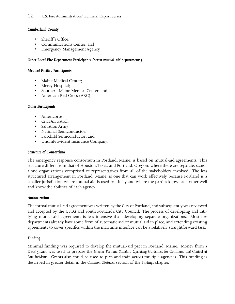#### *Cumberland County*

- Sheriff's Office:
- Communications Center; and
- Emergency Management Agency.

## *Other Local Fire Department Participants (seven mutual-aid departments)*

#### *Medical Facility Participants*

- Maine Medical Center;
- Mercy Hospital;
- Southern Maine Medical Center; and
- American Red Cross (ARC).

## *Other Participants*

- Americorps;
- Civil Air Patrol;
- Salvation Army;
- National Semiconductor;
- Fairchild Semiconductor; and
- • UnumProvident Insurance Company.

#### *Structure of Consortium*

The emergency response consortium in Portland, Maine, is based on mutual-aid agreements. This structure differs from that of Houston, Texas, and Portland, Oregon, where there are separate, standalone organizations comprised of representatives from all of the stakeholders involved. The less structured arrangement in Portland, Maine, is one that can work effectively because Portland is a smaller jurisdiction where mutual aid is used routinely and where the parties know each other well and know the abilities of each agency.

#### *Authorization*

The formal mutual-aid agreement was written by the City of Portland, and subsequently was reviewed and accepted by the USCG and South Portland's City Council. The process of developing and ratifying mutual-aid agreements is less intensive than developing separate organizations. Most fire departments already have some form of automatic aid or mutual aid in place, and extending existing agreements to cover specifics within the maritime interface can be a relatively straightforward task.

#### *Funding*

Minimal funding was required to develop the mutual-aid pact in Portland, Maine. Money from a DHS grant was used to prepare the *Greater Portland Standard Operating Guidelines for Command and Control at Port Incidents*. Grants also could be used to plan and train across multiple agencies. This funding is described in greater detail in the *Common Obstacles* section of the *Findings* chapter.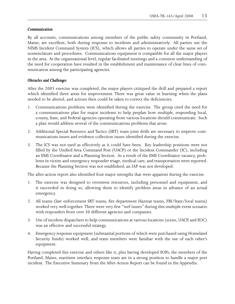#### *Communication*

By all accounts, communications among members of the public safety community in Portland, Maine, are excellent, both during response to incidents and administratively. All parties use the NIMS Incident Command System (ICS), which allows all parties to operate under the same set of nomenclature and procedures. Communications equipment is compatible for all the major players in the area. At the organizational level, regular facilitated meetings and a common understanding of the need for cooperation have resulted in the establishment and maintenance of clear lines of communication among the participating agencies.

## *Obstacles and Challenges*

After the 2005 exercise was completed, the major players critiqued the drill and prepared a report which identified three areas for improvement. There was great value in learning when the plans needed to be altered, and actions then could be taken to correct the deficiencies.

- 1. Communications problems were identified during the exercise. The group cited the need for a communications plan for major incidents to help preplan how multiple, responding local, county, State, and Federal agencies operating from various locations should communicate. Such a plan would address several of the communications problems that arose.
- 2. Additional Special Resource and Tactics (SRT) team joint drills are necessary to improve communications issues and evidence collection issues identified during the exercise.
- 3. The ICS was not used as effectively as it could have been. Key leadership positions were not filled by the Unified Area Command Post (UACP) or the Incident Commander (IC), including an EMS Coordinator and a Planning Section. As a result of the EMS Coordinator vacancy, problems in victim and emergency responder triage, medical care, and transportation were reported. Because the Planning Section was not established, an IAP was not developed.

The after-action report also identified four major strengths that were apparent during the exercise.

- 1. The exercise was designed to overstress resources, including personnel and equipment, and it succeeded in doing so, allowing them to identify problem areas in advance of an actual emergency.
- 2. All teams (law enforcement SRT teams, fire department Hazmat teams, FBI/State/local teams) worked very well together. There were very few "turf issues" during this multiple event scenario with responders from over 30 different agencies and companies.
- 3. Use of incident dispatchers to help communications at various locations (scene, UACP, and EOC) was an effective and successful strategy.
- 4. Emergency response equipment (substantial portions of which were purchased using Homeland Security funds) worked well, and team members were familiar with the use of each other's equipment.

Having completed this exercise and others like it, plus having developed SOPs, the members of the Portland, Maine, maritime interface response team are in a strong position to handle a major port incident. The Executive Summary from the After-Action Report can be found in the Appendix.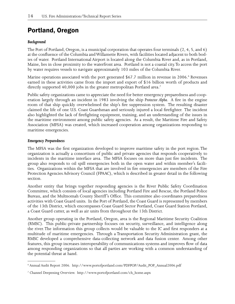# Portland, Oregon

## *Background*

The Port of Portland, Oregon, is a municipal corporation that operates four terminals (2, 4, 5, and 6) at the confluence of the Columbia and Willamette Rivers, with facilities located adjacent to both bodies of water. Portland International Airport is located along the Columbia River and, as in Portland, Maine, lies in close proximity to the waterfront area. Portland is not a coastal city. To access the port by water requires vessels to navigate approximately 103 miles of the Columbia River.

Marine operations associated with the port generated \$67.7 million in revenue in 2006.<sup>6</sup> Revenues earned in these activities came from the import and export of \$16 billion worth of products and directly supported 40,000 jobs in the greater metropolitan Portland area.<sup>7</sup>

Public safety organizations came to appreciate the need for better emergency preparedness and cooperation largely through an incident in 1983 involving the ship *Protector Alpha*. A fire in the engine room of that ship quickly overwhelmed the ship's fire suppression system. The resulting disaster claimed the life of one U.S. Coast Guardsman and seriously injured a local firefighter. The incident also highlighted the lack of firefighting equipment, training, and an understanding of the issues in the maritime environment among public safety agencies. As a result, the Maritime Fire and Safety Association (MFSA) was created, which increased cooperation among organizations responding to maritime emergencies.

## *Emergency Preparedness*

The MFSA was the first organization developed to improve maritime safety in the port region. The organization is actually a consortium of public and private agencies that responds cooperatively to incidents in the maritime interface area. The MFSA focuses on more than just fire incidents. The group also responds to oil spill emergencies both in the open water and within member's facilities. Organizations within the MFSA that are involved in fire emergencies are members of the Fire Protection Agencies Advisory Council (FPAAC), which is described in greater detail in the following section.

Another entity that brings together responding agencies is the River Public Safety Coordination Committee, which consists of local agencies including Portland Fire and Rescue, the Portland Police Bureau, and the Multnomah County Sheriff's Office. This committee also coordinates preparedness activities with Coast Guard units. In the Port of Portland, the Coast Guard is represented by members of the 13th District, which encompasses Coast Guard Sector Portland, Coast Guard Station Portland, a Coast Guard cutter, as well as air units from throughout the 13th District.

Another group operating in the Portland, Oregon, area is the Regional Maritime Security Coalition (RMSC). This public-private partnership focuses on security, surveillance, and intelligence along the river. The information this group collects would be valuable to the IC and first responders at a multitude of maritime emergencies. Through a Transportation Security Administration grant, the RMSC developed a comprehensive data-collecting network and data fusion center. Among other features, this group increases interoperability of communications systems and improves flow of data among responding organizations so that all parties are working with a common understanding of the potential threat at hand.

<sup>6</sup> Annual Audit Report 2006. http://www.portofportland.com/PDFPOP/Audit\_POP\_Annual2006.pdf

<sup>7</sup> Channel Deepening Overview. http://www.portofportland.com/ch\_home.aspx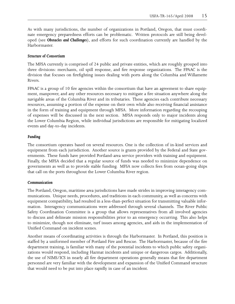As with many jurisdictions, the number of organizations in Portland, Oregon, that must coordinate emergency preparedness efforts can be problematic. Written protocols are still being developed (see *Obstacles and Challenges*), and efforts for such coordination currently are handled by the Harbormaster.

## *Structure of Consortium*

The MFSA currently is comprised of 24 public and private entities, which are roughly grouped into three divisions: merchants, oil spill response, and fire response organizations. The FPAAC is the division that focuses on firefighting issues dealing with ports along the Columbia and Willamette Rivers.

FPAAC is a group of 10 fire agencies within the consortium that have an agreement to share equipment, manpower, and any other resources necessary to mitigate a fire situation anywhere along the navigable areas of the Columbia River and its tributaries. These agencies each contribute necessary resources, assuming a portion of the expense on their own while also receiving financial assistance in the form of training and equipment through MFSA. More information regarding the recouping of expenses will be discussed in the next section. MFSA responds only to major incidents along the Lower Columbia Region, while individual jurisdictions are responsible for mitigating localized events and day-to-day incidents.

## *Funding*

The consortium operates based on several resources. One is the collection of in-kind services and equipment from each jurisdiction. Another source is grants provided by the Federal and State governments. These funds have provided Portland-area service providers with training and equipment. Finally, the MFSA decided that a regular source of funds was needed to minimize dependence on governments as well as to provide stable funding. MFSA now collects fees from ocean-going ships that call on the ports throughout the Lower Columbia River region.

## *Communication*

The Portland, Oregon, maritime area jurisdictions have made strides in improving interagency communications. Unique needs, procedures, and traditions in each community, as well as concerns with equipment compatibility, had resulted in a less-than-perfect situation for transmitting valuable information. Interagency communications were addressed through several channels. The River Public Safety Coordination Committee is a group that allows representatives from all involved agencies to discuss and delineate mission responsibilities prior to an emergency occurring. This also helps to minimize, though not eliminate, turf issues among agencies, and aids in the implementation of Unified Command on incident scenes.

Another means of coordinating activities is through the Harbormaster. In Portland, this position is staffed by a uniformed member of Portland Fire and Rescue. The Harbormaster, because of the fire department training, is familiar with many of the potential incidents to which public safety organizations would respond, including Hazmat incidents and unique or dangerous cargos. Additionally, the use of NIMS/ICS in nearly all fire department operations generally means that fire department personnel are very familiar with the development and expansion of the Unified Command structure that would need to be put into place rapidly in case of an incident.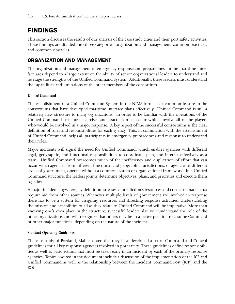# FINDINGS

This section discusses the results of our analysis of the case study cities and their port safety activities. These findings are divided into three categories: organization and management, common practices, and common obstacles.

## ORGANIZATION AND MANAGEMENT

The organization and management of emergency response and preparedness in the maritime interface area depend to a large extent on the ability of senior organizational leaders to understand and leverage the strengths of the Unified Command System. Additionally, these leaders must understand the capabilities and limitations of the other members of the consortium.

## *Unified Command*

The establishment of a Unified Command System in the NIMS format is a common feature in the consortiums that have developed maritime interface plans effectively. Unified Command is still a relatively new structure to many organizations. In order to be familiar with the operations of the Unified Command structure, exercises and practices must occur which involve all of the players who would be involved in a major response. A key aspect of the successful consortiums is the clear definition of roles and responsibilities for each agency. This, in conjunction with the establishment of Unified Command, helps all participants in emergency preparedness and response to understand their roles.

Major incidents will signal the need for Unified Command, which enables agencies with different legal, geographic, and functional responsibilities to coordinate, plan, and interact effectively as a team. Unified Command overcomes much of the inefficiency and duplication of effort that can occur when agencies from different functional and geographic jurisdictions, or agencies at different levels of government, operate without a common system or organizational framework. In a Unified Command structure, the leaders jointly determine objectives, plans, and priorities and execute them together.

A major incident anywhere, by definition, stresses a jurisdiction's resources and creates demands that require aid from other sources. Whenever multiple levels of government are involved in response there has to be a system for assigning resources and directing response activities. Understanding the mission and capabilities of all as they relate to Unified Command will be imperative. More than knowing one's own place in the structure, successful leaders also will understand the role of the other organizations and will recognize that others may be in a better position to assume Command or other major functions, depending on the nature of the incident.

## *Standard Operating Guidelines*

The case study of Portland, Maine, noted that they have developed a set of Command and Control guidelines for all key response agencies involved in port safety. These guidelines define responsibilities as well as basic actions that must be taken early in an incident by each of the primary response agencies. Topics covered in the document include a discussion of the implementation of the ICS and Unified Command as well as the relationship between the Incident Command Post (ICP) and the EOC.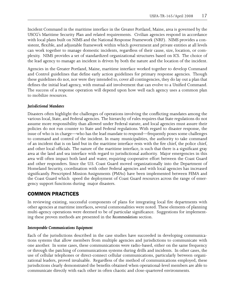Incident Command in the maritime interface in the Greater Portland, Maine, area is governed by the USCG's Maritime Security Plan and related requirements. Civilian agencies respond in accordance with local plans built on NIMS and the National Response Framework (NRF). NIMS provides a consistent, flexible, and adjustable framework within which government and private entities at all levels can work together to manage domestic incidents, regardless of their cause, size, location, or complexity. NIMS provides a set of standardized organizational structures based on ICS. The choice of the lead agency to manage an incident is driven by both the nature and the location of the incident.

Agencies in the Greater Portland, Maine, maritime interface worked together to develop Command and Control guidelines that define early action guidelines for primary response agencies. Though these guidelines do not, nor were they intended to, cover all contingencies, they do lay out a plan that defines the initial lead agency, with mutual-aid involvement that can evolve to a Unified Command. The success of a response operation will depend upon how well each agency uses a common plan to mobilize resources.

## *Jurisdictional Mandates*

Disasters often highlight the challenges of operations involving the conflicting mandates among the various local, State, and Federal agencies. The hierarchy of rules requires that State regulations do not assume more responsibility than allowed under Federal statute, and local agencies must assure their policies do not run counter to State and Federal regulations. With regard to disaster response, the issue of who is in charge—who has the lead mandate to respond—frequently poses some challenges to command and control of the incident. In many municipalities, the authority to take command of an incident that is on land but in the maritime interface rests with the fire chief, the police chief, and other local officials. The nature of the maritime interface, is such that there is a significant gray area at the land and sea interface with regard to jurisdictional authority. Major emergencies in this area will often impact both land and water, requiring cooperative effort between the Coast Guard and other responders. Since the U.S. Coast Guard moved organizationally into the Department of Homeland Security, coordination with other Federal agencies and with local agencies has increased significantly. Prescripted Mission Assignments (PMAs) have been implemented between FEMA and the Coast Guard which speed the deployment of Coast Guard resources across the range of emergency support functions during major disasters.

## COMMON PRACTICES

In reviewing existing, successful components of plans for integrating local fire departments with other agencies at maritime interfaces, several commonalities were noted. These elements of planning multi-agency operations were deemed to be of particular significance. Suggestions for implementing these proven methods are presented in the *Recommendations* section.

#### *Interoperable Communications Equipment*

Each of the jurisdictions described in the case studies have succeeded in developing communications systems that allow members from multiple agencies and jurisdictions to communicate with one another. In some cases, these communications were radio-based, either on the same frequency or through the patching of communications systems during drills and incidents. In other cases, the use of cellular telephones or direct-connect cellular communications, particularly between organizational leaders, proved invaluable. Regardless of the method of communications employed, these jurisdictions clearly demonstrated the benefits obtained when operational-level members are able to communicate directly with each other in often chaotic and close-quartered environments.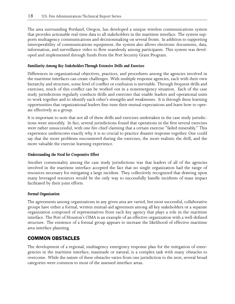The area surrounding Portland, Oregon, has developed a unique wireless communications system that provides actionable real-time data to all stakeholders in the maritime interface. The system supports multiagency communications and decisionmaking on several fronts. In addition to supporting interoperability of communications equipment, the system also allows electronic documents, data, information, and surveillance video to flow seamlessly among participants. This system was developed and implemented through funds from the Port Security Grant Program.

## *Familiarity Among Key Stakeholders Through Extensive Drills and Exercises*

Differences in organizational objectives, practices, and procedures among the agencies involved in the maritime interfaces can create challenges. With multiple response agencies, each with their own hierarchy and structure, some level of conflict or confusion is inevitable. Through frequent drills and exercises, much of this conflict can be worked out in a nonemergency situation. Each of the case study jurisdictions regularly conducts drills and exercises that enable leaders and operational units to work together and to identify each other's strengths and weaknesses. It is through these learning opportunities that organizational leaders fine-tune their mutual expectations and learn how to operate effectively as a group.

It is important to note that not all of these drills and exercises undertaken in the case study jurisdictions went smoothly. In fact, several jurisdictions found that operations in the first several exercises were rather unsuccessful, with one fire chief claiming that a certain exercise "failed miserably." This experience underscores exactly why it is so crucial to practice disaster response together. One could say that the more problems encountered during the exercises, the more realistic the drill, and the more valuable the exercise learning experience.

#### *Understanding the Need for Cooperative Effort*

Another commonality among the case study jurisdictions was that leaders of all of the agencies involved in the maritime interface accepted the fact that no single organization had the range of resources necessary for mitigating a large incident. They collectively recognized that drawing upon many leveraged resources would be the only way to successfully handle incidents of mass impact facilitated by their joint efforts.

#### *Formal Organization*

The agreements among organizations in any given area are varied, but most successful, collaborative groups have either a formal, written mutual-aid agreement among all key stakeholders or a separate organization composed of representatives from each key agency that plays a role in the maritime interface. The Port of Houston's CIMA is an example of an effective organization with a well-defined structure. The existence of a formal group appears to increase the likelihood of effective maritime area interface planning.

## COMMON OBSTACLES

The development of a regional, multiagency emergency response plan for the mitigation of emergencies in the maritime interface, manmade or natural, is a complex task with many obstacles to overcome. While the nature of these obstacles varies from one jurisdiction to the next, several broad categories were common to most of the assessed interface areas.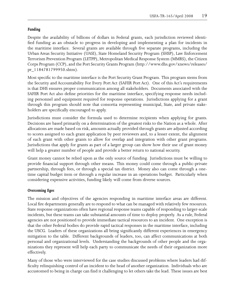## *Funding*

Despite the availability of billions of dollars in Federal grants, each jurisdiction reviewed identified funding as an obstacle to progress in developing and implementing a plan for incidents in the maritime interface. Several grants are available through five separate programs, including the Urban Areas Security Initiative (UASI), State Homeland Security Program (SHSP), Law Enforcement Terrorism Prevention Program (LETPP), Metropolitan Medical Response System (MMRS), the Citizen Corps Program (CCP), and the Port Security Grants Program (http://www.dhs.gov/xnews/releases/ pr\_1184781799950.shtm).

Most specific to the maritime interface is the Port Security Grant Program. This program stems from the Security and Accountability For Every Port Act (SAFER Port Act). One of this Act's requirements is that DHS ensures proper communication among all stakeholders. Documents associated with the SAFER Port Act also define priorities for the maritime interface, specifying response needs including personnel and equipment required for response operations. Jurisdictions applying for a grant through this program should note that consortia representing municipal, State, and private stakeholders are specifically encouraged to apply.

Jurisdictions must consider the formula used to determine recipients when applying for grants. Decisions are based primarily on a determination of the greatest risks to the Nation as a whole. After allocations are made based on risk, amounts actually provided through grants are adjusted according to scores assigned to each grant application by peer reviewers and, to a lesser extent, the alignment of each grant with other grants to allow for overlap and integration with other grant programs. Jurisdictions that apply for grants as part of a larger group can show how their use of grant money will help a greater number of people and provide a better return to national security.

Grant money cannot be relied upon as the only source of funding. Jurisdictions must be willing to provide financial support through other means. This money could come through a public-private partnership, through fees, or through a special tax district. Money also can come through a onetime capital budget item or through a regular increase in an operations budget. Particularly when considering expensive activities, funding likely will come from diverse sources.

## *Overcoming Egos*

The mission and objectives of the agencies responding in maritime interface areas are different. Local fire departments generally are to respond to what can be managed with relatively few resources. State response organizations often have regional response teams capable of responding to larger-scale incidents, but these teams can take substantial amounts of time to deploy properly. As a rule, Federal agencies are not positioned to provide immediate tactical resources to an incident. One exception is that the other Federal bodies do provide rapid tactical responses in the maritime interface, including the USCG. Leaders of these organizations all bring significantly different experiences in emergency mitigation to the table. Different backgrounds of leaders, too, can affect communications at both personal and organizational levels. Understanding the backgrounds of other people and the organizations they represent will help each party to communicate the needs of their organization more effectively.

Many of those who were interviewed for the case studies discussed problems where leaders had difficulty relinquishing control of an incident to the head of another organization. Individuals who are accustomed to being in charge can find it challenging to let others take the lead. These issues are best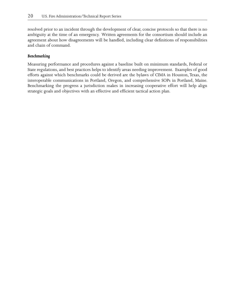resolved prior to an incident through the development of clear, concise protocols so that there is no ambiguity at the time of an emergency. Written agreements for the consortium should include an agreement about how disagreements will be handled, including clear definitions of responsibilities and chain of command.

## *Benchmarking*

Measuring performance and procedures against a baseline built on minimum standards, Federal or State regulations, and best practices helps to identify areas needing improvement. Examples of good efforts against which benchmarks could be derived are the bylaws of CIMA in Houston, Texas, the interoperable communications in Portland, Oregon, and comprehensive SOPs in Portland, Maine. Benchmarking the progress a jurisdiction makes in increasing cooperative effort will help align strategic goals and objectives with an effective and efficient tactical action plan.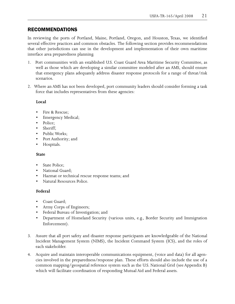## RECOMMENDATIONS

In reviewing the ports of Portland, Maine, Portland, Oregon, and Houston, Texas, we identified several effective practices and common obstacles. The following section provides recommendations that other jurisdictions can use in the development and implementation of their own maritime interface area preparedness planning.

- 1. Port communities with an established U.S. Coast Guard Area Maritime Security Committee, as well as those which are developing a similar committee modeled after an AMS, should ensure that emergency plans adequately address disaster response protocols for a range of threat/risk scenarios.
- 2. Where an AMS has not been developed, port community leaders should consider forming a task force that includes representatives from these agencies:

## **Local**

- • Fire & Rescue;
- Emergency Medical;
- Police;
- Sheriff:
- Public Works:
- Port Authority; and
- • Hospitals.

## **State**

- State Police:
- National Guard;
- Hazmat or technical rescue response teams; and
- Natural Resources Police.

## **Federal**

- Coast Guard;
- Army Corps of Engineers;
- Federal Bureau of Investigation; and
- Department of Homeland Security (various units, e.g., Border Security and Immigration Enforcement).
- 3. Assure that all port safety and disaster response participants are knowledgeable of the National Incident Management System (NIMS), the Incident Command System (ICS), and the roles of each stakeholder.
- 4. Acquire and maintain interoperable communications equipment, (voice and data) for all agencies involved in the preparedness/response plan. These efforts should also include the use of a common mapping/geospatial reference system such as the U.S. National Grid (see Appendix B) which will facilitate coordination of responding Mutual Aid and Federal assets.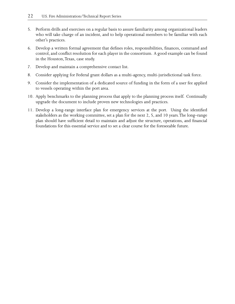- 5. Perform drills and exercises on a regular basis to assure familiarity among organizational leaders who will take charge of an incident, and to help operational members to be familiar with each other's practices.
- 6. Develop a written formal agreement that defines roles, responsibilities, finances, command and control, and conflict resolution for each player in the consortium. A good example can be found in the Houston, Texas, case study.
- 7. Develop and maintain a comprehensive contact list.
- 8. Consider applying for Federal grant dollars as a multi-agency, multi-jurisdictional task force.
- 9. Consider the implementation of a dedicated source of funding in the form of a user fee applied to vessels operating within the port area.
- 10. Apply benchmarks to the planning process that apply to the planning process itself. Continually upgrade the document to include proven new technologies and practices.
- 11. Develop a long-range interface plan for emergency services at the port. Using the identified stakeholders as the working committee, set a plan for the next 2, 5, and 10 years. The long–range plan should have sufficient detail to maintain and adjust the structure, operations, and financial foundations for this essential service and to set a clear course for the foreseeable future.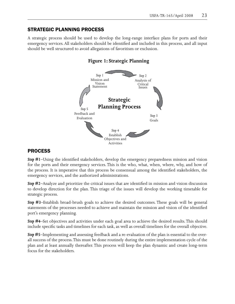## STRATEGIC PLANNING PROCESS

A strategic process should be used to develop the long-range interface plans for ports and their emergency services. All stakeholders should be identified and included in this process, and all input should be well structured to avoid allegations of favoritism or exclusion.



## **Figure 1: Strategic Planning**

## PROCESS

*Step #1*–Using the identified stakeholders, develop the emergency preparedness mission and vision for the ports and their emergency services. This is the who, what, when, where, why, and how of the process. It is imperative that this process be consensual among the identified stakeholders, the emergency services, and the authorized administrations.

*Step #2*–Analyze and prioritize the critical issues that are identified in mission and vision discussion to develop direction for the plan. This triage of the issues will develop the working timetable for strategic process.

*Step #3*–Establish broad-brush goals to achieve the desired outcomes. These goals will be general statements of the processes needed to achieve and maintain the mission and vision of the identified port's emergency planning.

*Step #4*–Set objectives and activities under each goal area to achieve the desired results. This should include specific tasks and timelines for each task, as well as overall timelines for the overall objective.

*Step #5*–Implementing and assessing feedback and a re-evaluation of the plan is essential to the overall success of the process. This must be done routinely during the entire implementation cycle of the plan and at least annually thereafter. This process will keep the plan dynamic and create long-term focus for the stakeholders.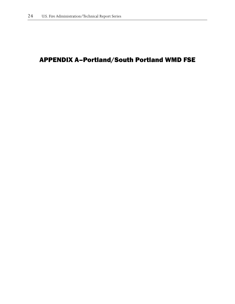# APPENDIX A–Portland/South Portland WMD FSE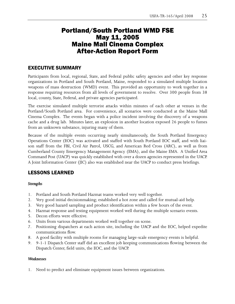## Portland/South Portland WMD FSE May 11, 2005 Maine Mall Cinema Complex After-Action Report Form

## EXECUTIVE SUMMARY

Participants from local, regional, State, and Federal public safety agencies and other key response organizations in Portland and South Portland, Maine, responded to a simulated multiple location weapons of mass destruction (WMD) event. This provided an opportunity to work together in a response requiring resources from all levels of government to resolve. Over 300 people from 38 local, county, State, Federal, and private agencies participated.

The exercise simulated multiple terrorist attacks within minutes of each other at venues in the Portland/South Portland area. For convenience, all scenarios were conducted at the Maine Mall Cinema Complex. The events began with a police incident involving the discovery of a weapons cache and a drug lab. Minutes later, an explosion in another location exposed 26 people to fumes from an unknown substance, injuring many of them.

Because of the multiple events occurring nearly simultaneously, the South Portland Emergency Operations Center (EOC) was activated and staffed with South Portland EOC staff, and with liaison staff from the FBI, Civil Air Patrol, USCG, and American Red Cross (ARC), as well as from Cumberland County Emergency Management Agency (EMA), and the Maine EMA. A Unified Area Command Post (UACP) was quickly established with over a dozen agencies represented in the UACP. A Joint Information Center (JIC) also was established near the UACP to conduct press briefings.

## LESSONS LEARNED

## *Strengths*

- 1. Portland and South Portland Hazmat teams worked very well together.
- 2. Very good initial decisionmaking; established a hot zone and called for mutual-aid help.
- 3. Very good hazard sampling and product identification within a few hours of the event.
- 4. Hazmat response and testing equipment worked well during the multiple scenario events.
- 5. Decon efforts were effective.
- 6. Units from various departments worked well together on scene.
- 7. Positioning dispatchers at each action site, including the UACP and the EOC, helped expedite communications flow.
- 8. A good facility with multiple rooms for managing large-scale emergency events is helpful.
- 9. 9-1-1 Dispatch Center staff did an excellent job keeping communications flowing between the Dispatch Center, field units, the EOC, and the UACP.

## *Weaknesses*

1. Need to predict and eliminate equipment issues between organizations.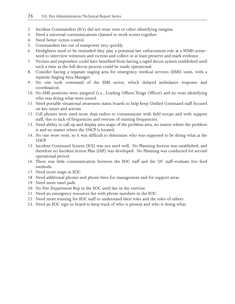- 2. Incident Commanders (ICs) did not wear vests or other identifying insignia.
- 3. Need a universal communications channel to work scenes together.
- 4. Need better victim control.
- 5. Commanders ran out of manpower very quickly.
- 6. Firefighters need to be reminded they play a potential law enforcement role at a WMD scene– need to interview witnesses and victims and collect or at least preserve and mark evidence.
- 7. Victims and responders could have benefited from having a rapid decon system established until such a time as the full decon process could be made operational.
- 8. Consider having a separate staging area for emergency medical services (EMS) units, with a separate Staging Area Manager.
- 9. No one took command of the EMS sector, which delayed ambulance response and coordination.
- 10. No EMS positions were assigned (i.e., Loading Officer, Triage Officer) and no vests identifying who was doing what were issued.
- 11. Need portable situational awareness status boards to help keep Unified Command staff focused on key issues and actions.
- 12. Cell phones were used more than radios to communicate with field troops and with support staff, due to lack of frequencies and overuse of existing frequencies.
- 13. Need ability to call up and display area maps of the problem area, no matter where the problem is and no matter where the UACP is located.
- 14. No one wore vests, so it was difficult to determine who was supposed to be doing what at the UACP.
- 15. Incident Command System (ICS) was not used well. No Planning Section was established, and therefore no Incident Action Plan (IAP) was developed. No Planning was conducted for second operational period.
- 16. There was little communication between the EOC staff and the UC staff–evaluate live feed methods.
- 17. Need more maps in EOC.
- 18. Need additional phones and phone lines for management and for support areas.
- 19. Need more easel pads.
- 20. No Fire Department Rep in the EOC until late in the exercise.
- 21. Need an emergency resources list with phone numbers in the EOC.
- 22. Need more training for EOC staff to understand their roles and the roles of others.
- 23. Need an EOC sign-in board to keep track of who is present and who is doing what.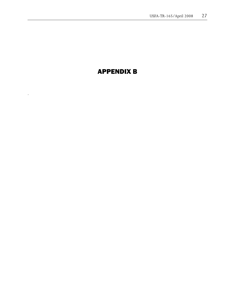# APPENDIX B

.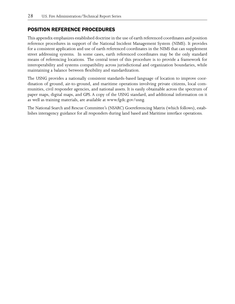## POSITION REFERENCE PROCEDURES

This appendix emphasizes established doctrine in the use of earth referenced coordinates and position reference procedures in support of the National Incident Management System (NIMS). It provides for a consistent application and use of earth referenced coordinates in the NIMS that can supplement street addressing systems. In some cases, earth referenced coordinates may be the only standard means of referencing locations. The central tenet of this procedure is to provide a framework for interoperability and systems compatibility across jurisdictional and organization boundaries, while maintaining a balance between flexibility and standardization.

The USNG provides a nationally consistent standards-based language of location to improve coordination of ground, air-to-ground, and maritime operations involving private citizens, local communities, civil responder agencies, and national assets. It is easily obtainable across the spectrum of paper maps, digital maps, and GPS. A copy of the USNG standard, and additional information on it as well as training materials, are available at www.fgdc.gov/usng.

The National Search and Rescue Committee's (NSARC) Goereferencing Matrix (which follows), establishes interagency guidance for all responders during land based and Maritime interface operations.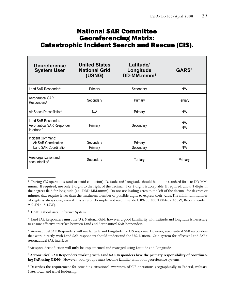# National SAR Committee Georeferencing Matrix: Catastrophic Incident Search and Rescue (CIS).

| Georeference<br><b>System User</b>                                           | <b>United States</b><br><b>National Grid</b><br>(USNG) | Latitude/<br>Longitude<br>DD-MM.mmm <sup>1</sup> | GARS <sup>2</sup> |
|------------------------------------------------------------------------------|--------------------------------------------------------|--------------------------------------------------|-------------------|
| Land SAR Responder <sup>3</sup>                                              | Primary                                                | Secondary                                        | N/A               |
| Aeronautical SAR<br>Responders <sup>4</sup>                                  | Secondary                                              | Primary                                          | <b>Tertiary</b>   |
| Air Space Deconfliction <sup>5</sup>                                         | N/A                                                    | Primary                                          | N/A               |
| Land SAR Responder/<br>Aeronautical SAR Responder<br>Interface. <sup>6</sup> | Primary                                                | Secondary                                        | N/A<br>N/A        |
| Incident Command:<br>Air SAR Coordination<br><b>Land SAR Coordination</b>    | Secondary<br>Primary                                   | Primary<br>Secondary                             | N/A<br>N/A        |
| Area organization and<br>accountability <sup>7</sup>                         | Secondary                                              | <b>Tertiary</b>                                  | Primary           |

<sup>&</sup>lt;sup>1</sup> During CIS operations (and to avoid confusion), Latitude and Longitude should be in one standard format: DD-MM. mmm. If required, use only 3 digits to the right of the decimal; 1 or 2 digits is acceptable. If required, allow 3 digits in the degrees field for longitude (i.e., DDD-MM.mmm). Do not use leading zeros to the left of the decimal for degrees or minutes that require fewer than the maximum number of possible digits to express their value. The minimum number of digits is always one, even if it is a zero. (Example: not recommended: 09-00.300N 004-02.450W; Recommended: 9-0.3N 4-2.45W).

<sup>2</sup> GARS: Global Area Reference System.

3 Land SAR Responders **must** use U.S. National Grid; however, a good familiarity with latitude and longitude is necessary to ensure effective interface between Land and Aeronautical SAR Responders.

4 Aeronautical SAR Responders will use latitude and longitude for CIS response. However, aeronautical SAR responders that work directly with Land SAR responders should understand the U.S. National Grid system for effective Land SAR/ Aeronautical SAR interface.

5 Air space deconfliction will **only** be implemented and managed using Latitude and Longitude.

<sup>6</sup> **Aeronautical SAR Responders working with Land SAR Responders have the primary responsibility of coordinating SAR using USNG.** However, both groups must become familiar with both georeference systems.

<sup>7</sup> Describes the requirement for providing situational awareness of CIS operations geographically to Federal, military, State, local, and tribal leadership.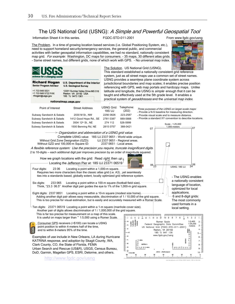## The US National Grid (USNG): A Simple and Powerful Geospatial Tool

Information Sheet 4 in this series. FGDC-STD-011-2001 From www.fgdc.gov/usng

The Problem. In a time of growing location based services (i.e. Global Positioning System, etc.), need to support homeland security/emergency services, the general public, and commercial activities with better geospatial information capabilities, we had no standard, nationally consistent map grid. For example: Washington, DC maps for consumers. - 35 maps, 30 different atlas grids. - Same street names, but different grids, none of which work with GPS. - No universal map index.